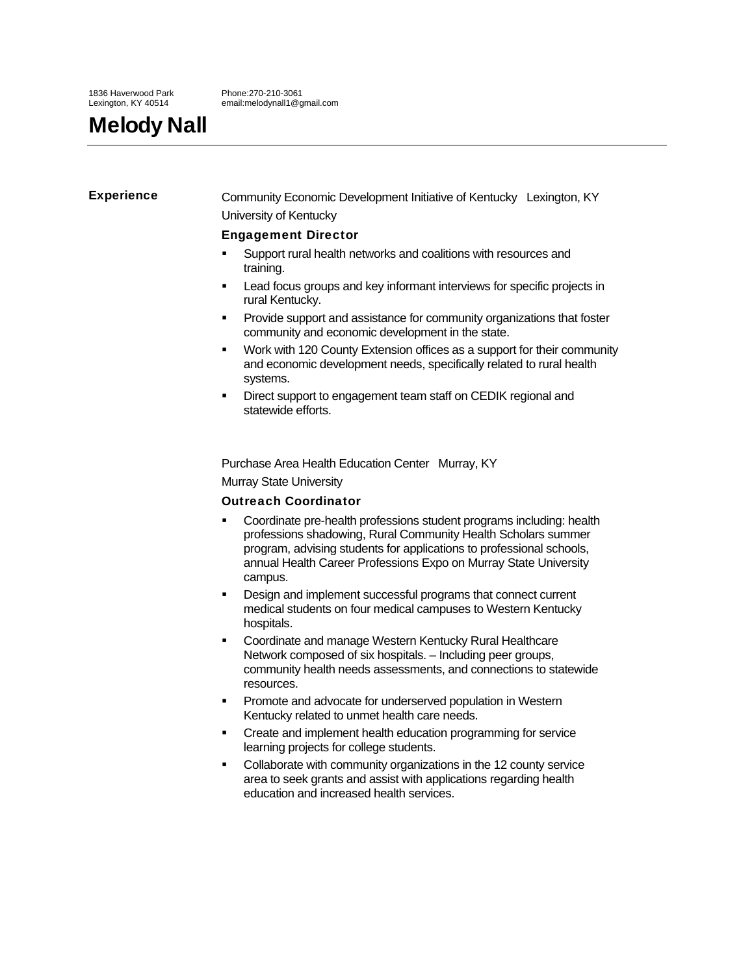Phone:270-210-3061 email:melodynall1@gmail.com

# Melody Nall

Experience **Community Economic Development Initiative of Kentucky** Lexington, KY University of Kentucky

# Engagement Director

- Support rural health networks and coalitions with resources and training.
- Lead focus groups and key informant interviews for specific projects in rural Kentucky.
- Provide support and assistance for community organizations that foster community and economic development in the state.
- Work with 120 County Extension offices as a support for their community and economic development needs, specifically related to rural health systems.
- Direct support to engagement team staff on CEDIK regional and statewide efforts.

Purchase Area Health Education Center Murray, KY

Murray State University

# Outreach Coordinator

- Coordinate pre-health professions student programs including: health professions shadowing, Rural Community Health Scholars summer program, advising students for applications to professional schools, annual Health Career Professions Expo on Murray State University campus.
- Design and implement successful programs that connect current medical students on four medical campuses to Western Kentucky hospitals.
- Coordinate and manage Western Kentucky Rural Healthcare Network composed of six hospitals. – Including peer groups, community health needs assessments, and connections to statewide resources.
- Promote and advocate for underserved population in Western Kentucky related to unmet health care needs.
- Create and implement health education programming for service learning projects for college students.
- Collaborate with community organizations in the 12 county service area to seek grants and assist with applications regarding health education and increased health services.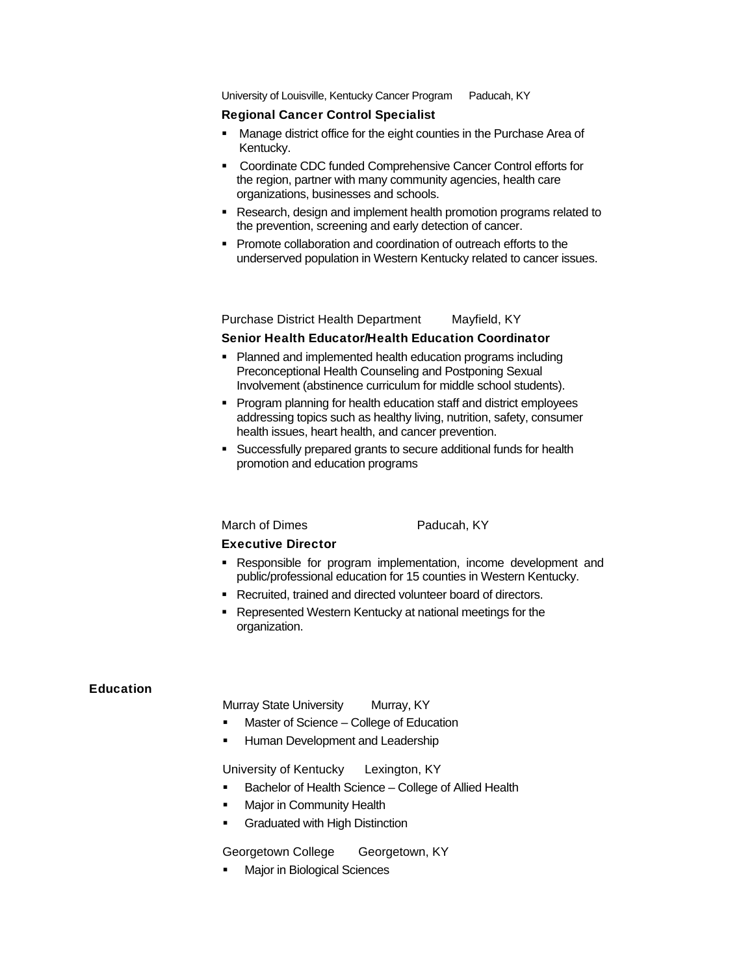University of Louisville, Kentucky Cancer Program Paducah, KY

## Regional Cancer Control Specialist

- **Manage district office for the eight counties in the Purchase Area of** Kentucky.
- Coordinate CDC funded Comprehensive Cancer Control efforts for the region, partner with many community agencies, health care organizations, businesses and schools.
- Research, design and implement health promotion programs related to the prevention, screening and early detection of cancer.
- Promote collaboration and coordination of outreach efforts to the underserved population in Western Kentucky related to cancer issues.

Purchase District Health Department Mayfield, KY

#### Senior Health Educator/Health Education Coordinator

- Planned and implemented health education programs including Preconceptional Health Counseling and Postponing Sexual Involvement (abstinence curriculum for middle school students).
- **Program planning for health education staff and district employees** addressing topics such as healthy living, nutrition, safety, consumer health issues, heart health, and cancer prevention.
- Successfully prepared grants to secure additional funds for health promotion and education programs

#### March of Dimes Paducah, KY

# Executive Director

- Responsible for program implementation, income development and public/professional education for 15 counties in Western Kentucky.
- Recruited, trained and directed volunteer board of directors.
- Represented Western Kentucky at national meetings for the organization.

#### Education

Murray State University Murray, KY

- Master of Science College of Education
- Human Development and Leadership

University of Kentucky Lexington, KY

- **Bachelor of Health Science College of Allied Health**
- Major in Community Health
- **Graduated with High Distinction**

Georgetown College Georgetown, KY

**Najor in Biological Sciences**